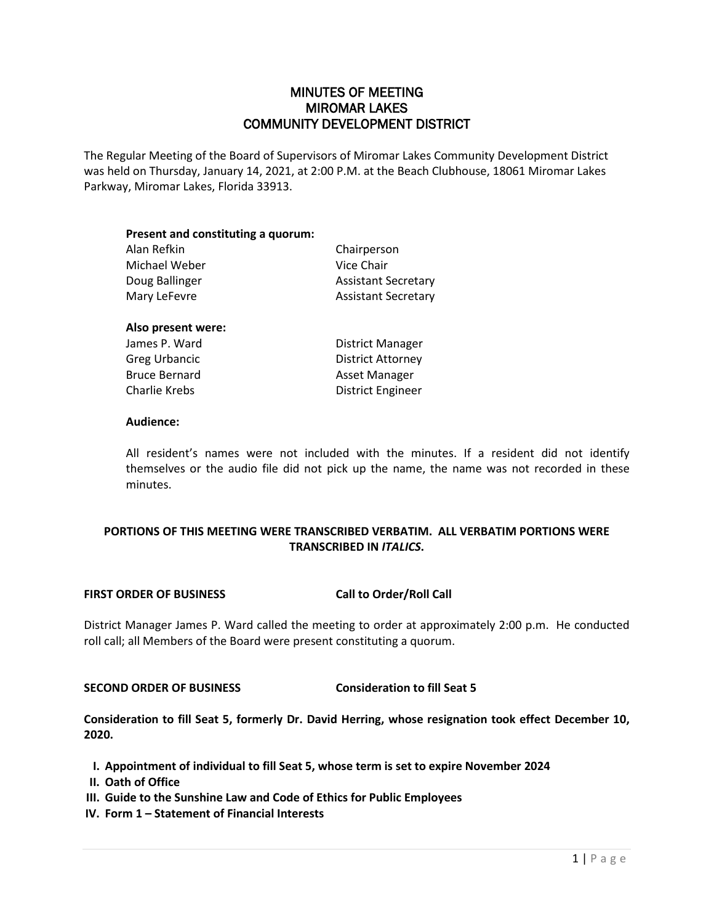# MINUTES OF MEETING MIROMAR LAKES COMMUNITY DEVELOPMENT DISTRICT

The Regular Meeting of the Board of Supervisors of Miromar Lakes Community Development District was held on Thursday, January 14, 2021, at 2:00 P.M. at the Beach Clubhouse, 18061 Miromar Lakes Parkway, Miromar Lakes, Florida 33913.

| Present and constituting a quorum: |                            |
|------------------------------------|----------------------------|
| Alan Refkin                        | Chairperson                |
| Michael Weber                      | Vice Chair                 |
| Doug Ballinger                     | <b>Assistant Secretary</b> |
| Mary LeFevre                       | <b>Assistant Secretary</b> |
| Also present were:                 |                            |
| James P. Ward                      | District Manager           |
| <b>Greg Urbancic</b>               | <b>District Attorney</b>   |

Bruce Bernard **Asset Manager** Charlie Krebs **District Engineer** 

#### **Audience:**

All resident's names were not included with the minutes. If a resident did not identify themselves or the audio file did not pick up the name, the name was not recorded in these minutes.

# **PORTIONS OF THIS MEETING WERE TRANSCRIBED VERBATIM. ALL VERBATIM PORTIONS WERE TRANSCRIBED IN** *ITALICS***.**

#### **FIRST ORDER OF BUSINESS Call to Order/Roll Call**

District Manager James P. Ward called the meeting to order at approximately 2:00 p.m. He conducted roll call; all Members of the Board were present constituting a quorum.

#### **SECOND ORDER OF BUSINESS Consideration to fill Seat 5**

**Consideration to fill Seat 5, formerly Dr. David Herring, whose resignation took effect December 10, 2020.**

- **I. Appointment of individual to fill Seat 5, whose term is set to expire November 2024**
- **II. Oath of Office**
- **III. Guide to the Sunshine Law and Code of Ethics for Public Employees**
- **IV. Form 1 – Statement of Financial Interests**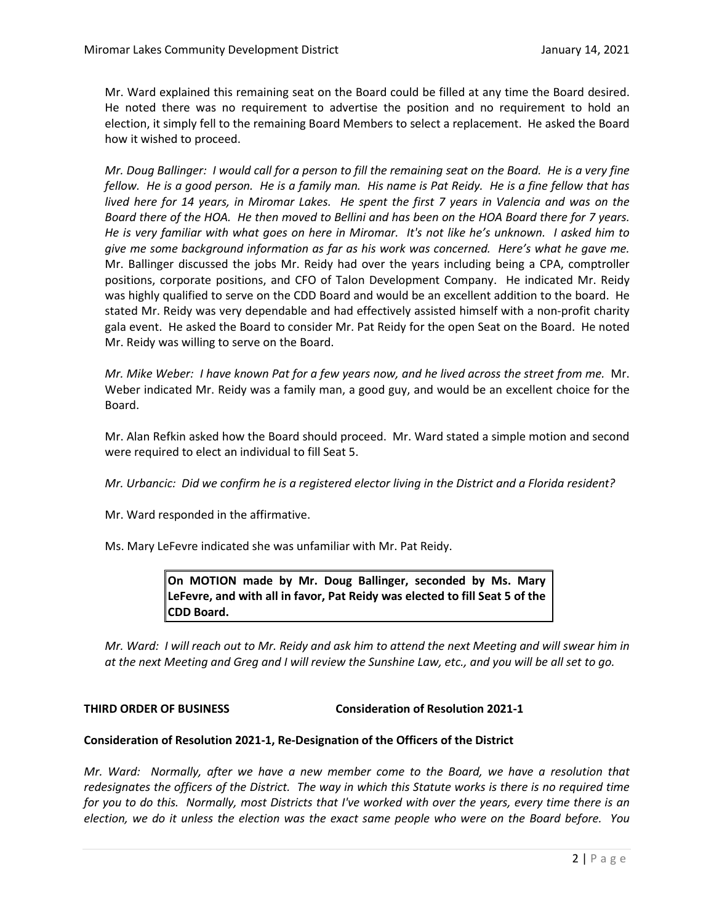Mr. Ward explained this remaining seat on the Board could be filled at any time the Board desired. He noted there was no requirement to advertise the position and no requirement to hold an election, it simply fell to the remaining Board Members to select a replacement. He asked the Board how it wished to proceed.

*Mr. Doug Ballinger: I would call for a person to fill the remaining seat on the Board. He is a very fine fellow. He is a good person. He is a family man. His name is Pat Reidy. He is a fine fellow that has lived here for 14 years, in Miromar Lakes. He spent the first 7 years in Valencia and was on the Board there of the HOA. He then moved to Bellini and has been on the HOA Board there for 7 years. He is very familiar with what goes on here in Miromar. It's not like he's unknown. I asked him to give me some background information as far as his work was concerned. Here's what he gave me.*  Mr. Ballinger discussed the jobs Mr. Reidy had over the years including being a CPA, comptroller positions, corporate positions, and CFO of Talon Development Company. He indicated Mr. Reidy was highly qualified to serve on the CDD Board and would be an excellent addition to the board. He stated Mr. Reidy was very dependable and had effectively assisted himself with a non-profit charity gala event. He asked the Board to consider Mr. Pat Reidy for the open Seat on the Board. He noted Mr. Reidy was willing to serve on the Board.

*Mr. Mike Weber: I have known Pat for a few years now, and he lived across the street from me.* Mr. Weber indicated Mr. Reidy was a family man, a good guy, and would be an excellent choice for the Board.

Mr. Alan Refkin asked how the Board should proceed. Mr. Ward stated a simple motion and second were required to elect an individual to fill Seat 5.

*Mr. Urbancic: Did we confirm he is a registered elector living in the District and a Florida resident?*

Mr. Ward responded in the affirmative.

Ms. Mary LeFevre indicated she was unfamiliar with Mr. Pat Reidy.

**On MOTION made by Mr. Doug Ballinger, seconded by Ms. Mary LeFevre, and with all in favor, Pat Reidy was elected to fill Seat 5 of the CDD Board.** 

*Mr. Ward: I will reach out to Mr. Reidy and ask him to attend the next Meeting and will swear him in at the next Meeting and Greg and I will review the Sunshine Law, etc., and you will be all set to go.* 

**THIRD ORDER OF BUSINESS Consideration of Resolution 2021-1**

#### **Consideration of Resolution 2021-1, Re-Designation of the Officers of the District**

*Mr. Ward: Normally, after we have a new member come to the Board, we have a resolution that redesignates the officers of the District. The way in which this Statute works is there is no required time for you to do this. Normally, most Districts that I've worked with over the years, every time there is an election, we do it unless the election was the exact same people who were on the Board before. You*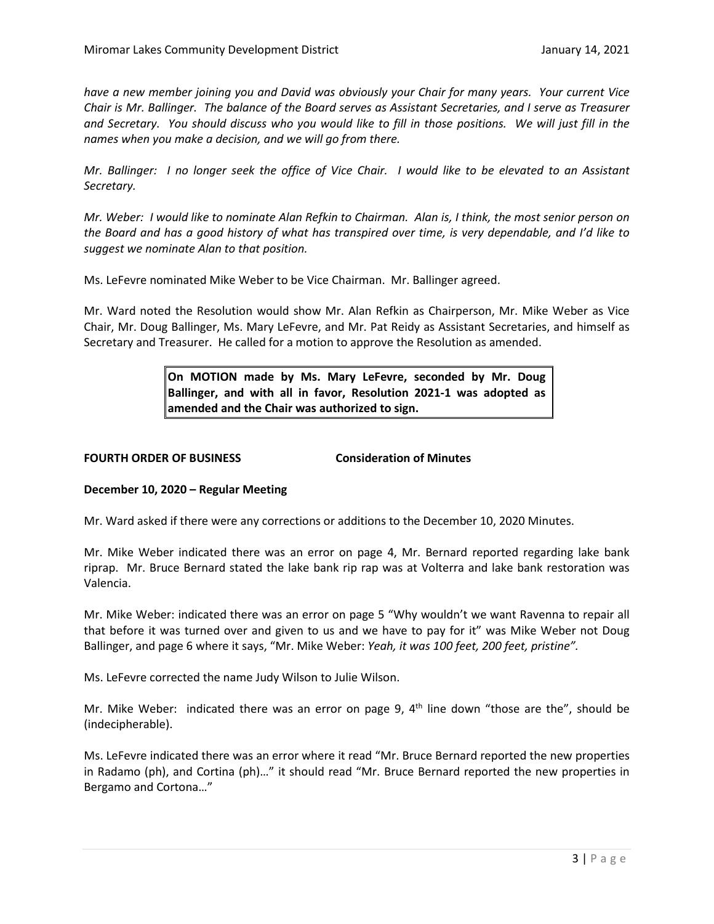*have a new member joining you and David was obviously your Chair for many years. Your current Vice Chair is Mr. Ballinger. The balance of the Board serves as Assistant Secretaries, and I serve as Treasurer and Secretary. You should discuss who you would like to fill in those positions. We will just fill in the names when you make a decision, and we will go from there.* 

*Mr. Ballinger: I no longer seek the office of Vice Chair. I would like to be elevated to an Assistant Secretary.* 

*Mr. Weber: I would like to nominate Alan Refkin to Chairman. Alan is, I think, the most senior person on the Board and has a good history of what has transpired over time, is very dependable, and I'd like to suggest we nominate Alan to that position.* 

Ms. LeFevre nominated Mike Weber to be Vice Chairman. Mr. Ballinger agreed.

Mr. Ward noted the Resolution would show Mr. Alan Refkin as Chairperson, Mr. Mike Weber as Vice Chair, Mr. Doug Ballinger, Ms. Mary LeFevre, and Mr. Pat Reidy as Assistant Secretaries, and himself as Secretary and Treasurer. He called for a motion to approve the Resolution as amended.

> **On MOTION made by Ms. Mary LeFevre, seconded by Mr. Doug Ballinger, and with all in favor, Resolution 2021-1 was adopted as amended and the Chair was authorized to sign.**

### **FOURTH ORDER OF BUSINESS Consideration of Minutes**

## **December 10, 2020 – Regular Meeting**

Mr. Ward asked if there were any corrections or additions to the December 10, 2020 Minutes.

Mr. Mike Weber indicated there was an error on page 4, Mr. Bernard reported regarding lake bank riprap. Mr. Bruce Bernard stated the lake bank rip rap was at Volterra and lake bank restoration was Valencia.

Mr. Mike Weber: indicated there was an error on page 5 "Why wouldn't we want Ravenna to repair all that before it was turned over and given to us and we have to pay for it" was Mike Weber not Doug Ballinger, and page 6 where it says, "Mr. Mike Weber: *Yeah, it was 100 feet, 200 feet, pristine".*

Ms. LeFevre corrected the name Judy Wilson to Julie Wilson.

Mr. Mike Weber: indicated there was an error on page 9,  $4<sup>th</sup>$  line down "those are the", should be (indecipherable).

Ms. LeFevre indicated there was an error where it read "Mr. Bruce Bernard reported the new properties in Radamo (ph), and Cortina (ph)…" it should read "Mr. Bruce Bernard reported the new properties in Bergamo and Cortona…"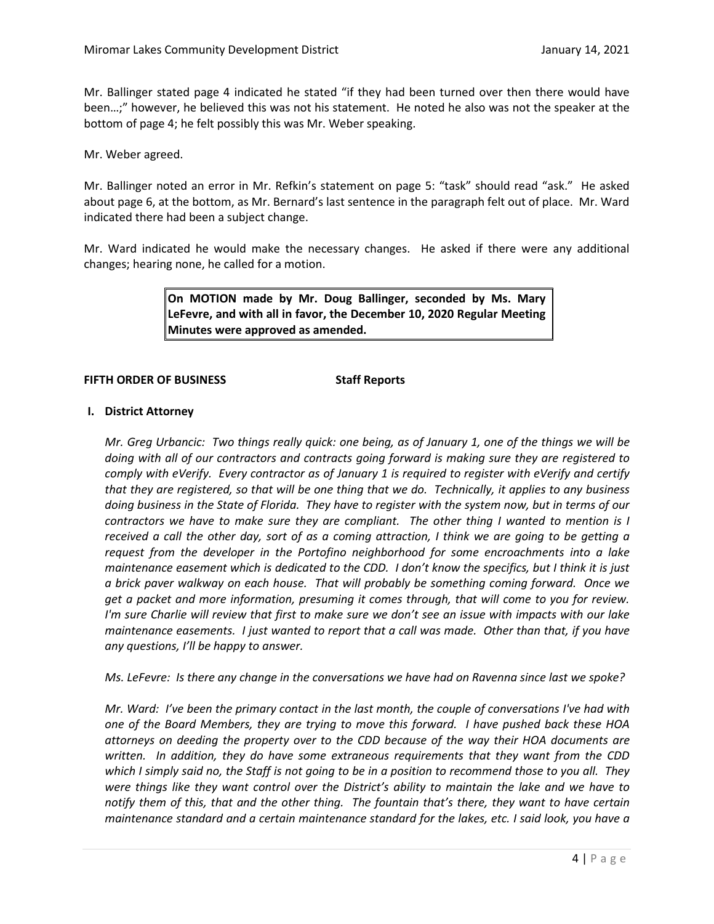Mr. Ballinger stated page 4 indicated he stated "if they had been turned over then there would have been…;" however, he believed this was not his statement. He noted he also was not the speaker at the bottom of page 4; he felt possibly this was Mr. Weber speaking.

Mr. Weber agreed.

Mr. Ballinger noted an error in Mr. Refkin's statement on page 5: "task" should read "ask." He asked about page 6, at the bottom, as Mr. Bernard's last sentence in the paragraph felt out of place. Mr. Ward indicated there had been a subject change.

Mr. Ward indicated he would make the necessary changes. He asked if there were any additional changes; hearing none, he called for a motion.

> **On MOTION made by Mr. Doug Ballinger, seconded by Ms. Mary LeFevre, and with all in favor, the December 10, 2020 Regular Meeting Minutes were approved as amended.**

#### **FIFTH ORDER OF BUSINESS Staff Reports**

#### **I. District Attorney**

*Mr. Greg Urbancic: Two things really quick: one being, as of January 1, one of the things we will be doing with all of our contractors and contracts going forward is making sure they are registered to comply with eVerify. Every contractor as of January 1 is required to register with eVerify and certify that they are registered, so that will be one thing that we do. Technically, it applies to any business doing business in the State of Florida. They have to register with the system now, but in terms of our contractors we have to make sure they are compliant. The other thing I wanted to mention is I received a call the other day, sort of as a coming attraction, I think we are going to be getting a request from the developer in the Portofino neighborhood for some encroachments into a lake maintenance easement which is dedicated to the CDD. I don't know the specifics, but I think it is just a brick paver walkway on each house. That will probably be something coming forward. Once we get a packet and more information, presuming it comes through, that will come to you for review. I'm sure Charlie will review that first to make sure we don't see an issue with impacts with our lake maintenance easements. I just wanted to report that a call was made. Other than that, if you have any questions, I'll be happy to answer.* 

*Ms. LeFevre: Is there any change in the conversations we have had on Ravenna since last we spoke?*

*Mr. Ward: I've been the primary contact in the last month, the couple of conversations I've had with one of the Board Members, they are trying to move this forward. I have pushed back these HOA attorneys on deeding the property over to the CDD because of the way their HOA documents are written. In addition, they do have some extraneous requirements that they want from the CDD which I simply said no, the Staff is not going to be in a position to recommend those to you all. They were things like they want control over the District's ability to maintain the lake and we have to notify them of this, that and the other thing. The fountain that's there, they want to have certain maintenance standard and a certain maintenance standard for the lakes, etc. I said look, you have a*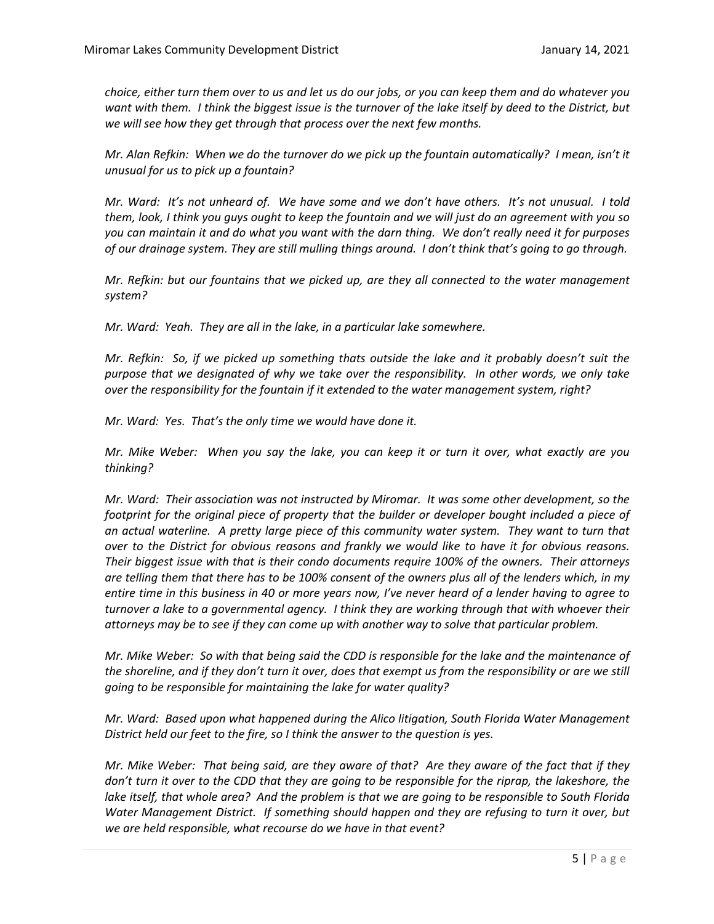*choice, either turn them over to us and let us do our jobs, or you can keep them and do whatever you*  want with them. I think the biggest issue is the turnover of the lake itself by deed to the District, but *we will see how they get through that process over the next few months.*

*Mr. Alan Refkin: When we do the turnover do we pick up the fountain automatically? I mean, isn't it unusual for us to pick up a fountain?*

*Mr. Ward: It's not unheard of. We have some and we don't have others. It's not unusual. I told them, look, I think you guys ought to keep the fountain and we will just do an agreement with you so you can maintain it and do what you want with the darn thing. We don't really need it for purposes of our drainage system. They are still mulling things around. I don't think that's going to go through.* 

*Mr. Refkin: but our fountains that we picked up, are they all connected to the water management system?* 

*Mr. Ward: Yeah. They are all in the lake, in a particular lake somewhere.*

*Mr. Refkin: So, if we picked up something thats outside the lake and it probably doesn't suit the purpose that we designated of why we take over the responsibility. In other words, we only take over the responsibility for the fountain if it extended to the water management system, right?* 

*Mr. Ward: Yes. That's the only time we would have done it.*

*Mr. Mike Weber: When you say the lake, you can keep it or turn it over, what exactly are you thinking?* 

*Mr. Ward: Their association was not instructed by Miromar. It was some other development, so the footprint for the original piece of property that the builder or developer bought included a piece of*  an actual waterline. A pretty large piece of this community water system. They want to turn that *over to the District for obvious reasons and frankly we would like to have it for obvious reasons. Their biggest issue with that is their condo documents require 100% of the owners. Their attorneys are telling them that there has to be 100% consent of the owners plus all of the lenders which, in my entire time in this business in 40 or more years now, I've never heard of a lender having to agree to turnover a lake to a governmental agency. I think they are working through that with whoever their attorneys may be to see if they can come up with another way to solve that particular problem.* 

*Mr. Mike Weber: So with that being said the CDD is responsible for the lake and the maintenance of the shoreline, and if they don't turn it over, does that exempt us from the responsibility or are we still going to be responsible for maintaining the lake for water quality?* 

*Mr. Ward: Based upon what happened during the Alico litigation, South Florida Water Management District held our feet to the fire, so I think the answer to the question is yes.*

*Mr. Mike Weber: That being said, are they aware of that? Are they aware of the fact that if they*  don't turn it over to the CDD that they are going to be responsible for the riprap, the lakeshore, the *lake itself, that whole area? And the problem is that we are going to be responsible to South Florida Water Management District. If something should happen and they are refusing to turn it over, but we are held responsible, what recourse do we have in that event?*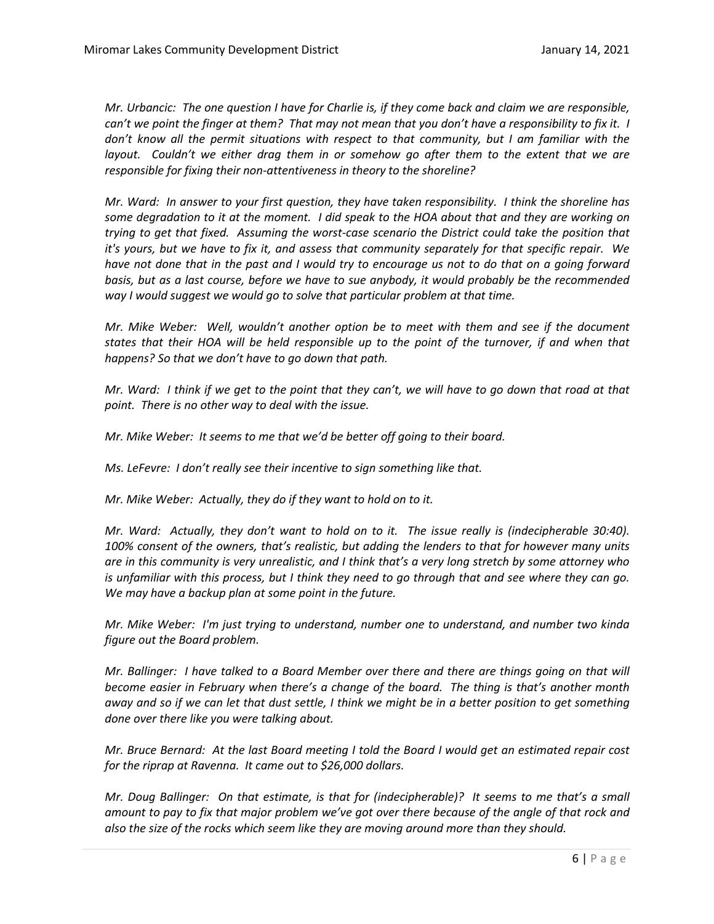*Mr. Urbancic: The one question I have for Charlie is, if they come back and claim we are responsible, can't we point the finger at them? That may not mean that you don't have a responsibility to fix it. I don't know all the permit situations with respect to that community, but I am familiar with the layout. Couldn't we either drag them in or somehow go after them to the extent that we are responsible for fixing their non-attentiveness in theory to the shoreline?*

*Mr. Ward: In answer to your first question, they have taken responsibility. I think the shoreline has some degradation to it at the moment. I did speak to the HOA about that and they are working on trying to get that fixed. Assuming the worst-case scenario the District could take the position that it's yours, but we have to fix it, and assess that community separately for that specific repair. We have not done that in the past and I would try to encourage us not to do that on a going forward basis, but as a last course, before we have to sue anybody, it would probably be the recommended way I would suggest we would go to solve that particular problem at that time.* 

*Mr. Mike Weber: Well, wouldn't another option be to meet with them and see if the document states that their HOA will be held responsible up to the point of the turnover, if and when that happens? So that we don't have to go down that path.*

*Mr. Ward: I think if we get to the point that they can't, we will have to go down that road at that point. There is no other way to deal with the issue.* 

*Mr. Mike Weber: It seems to me that we'd be better off going to their board.*

*Ms. LeFevre: I don't really see their incentive to sign something like that.* 

*Mr. Mike Weber: Actually, they do if they want to hold on to it.*

*Mr. Ward: Actually, they don't want to hold on to it. The issue really is (indecipherable 30:40). 100% consent of the owners, that's realistic, but adding the lenders to that for however many units are in this community is very unrealistic, and I think that's a very long stretch by some attorney who*  is unfamiliar with this process, but I think they need to go through that and see where they can go. *We may have a backup plan at some point in the future.* 

*Mr. Mike Weber: I'm just trying to understand, number one to understand, and number two kinda figure out the Board problem.*

*Mr. Ballinger: I have talked to a Board Member over there and there are things going on that will become easier in February when there's a change of the board. The thing is that's another month away and so if we can let that dust settle, I think we might be in a better position to get something done over there like you were talking about.* 

*Mr. Bruce Bernard: At the last Board meeting I told the Board I would get an estimated repair cost for the riprap at Ravenna. It came out to \$26,000 dollars.* 

*Mr. Doug Ballinger: On that estimate, is that for (indecipherable)? It seems to me that's a small amount to pay to fix that major problem we've got over there because of the angle of that rock and also the size of the rocks which seem like they are moving around more than they should.*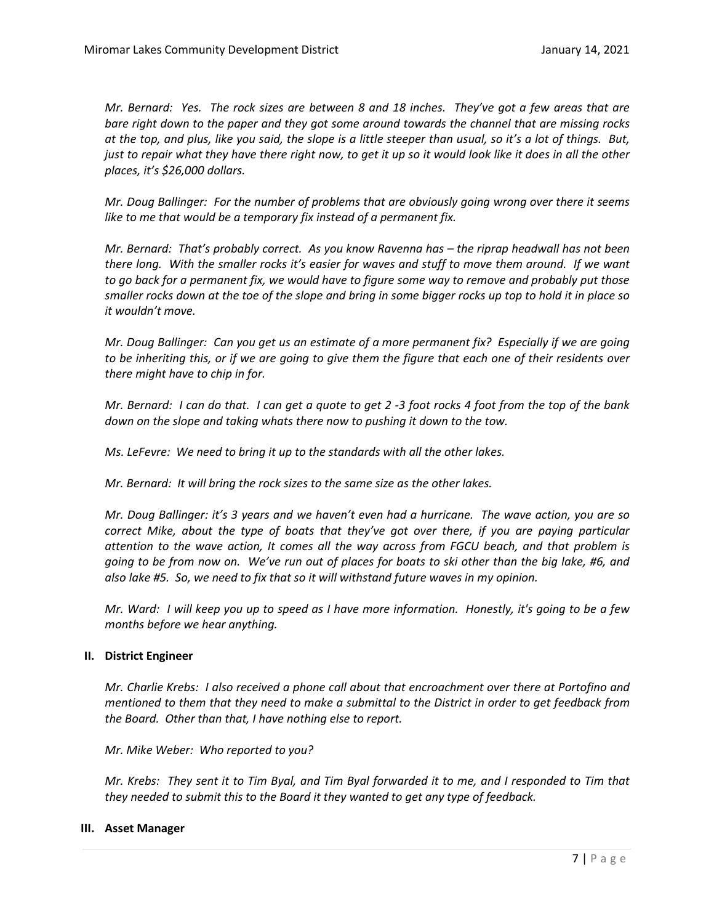*Mr. Bernard: Yes. The rock sizes are between 8 and 18 inches. They've got a few areas that are bare right down to the paper and they got some around towards the channel that are missing rocks at the top, and plus, like you said, the slope is a little steeper than usual, so it's a lot of things. But, just to repair what they have there right now, to get it up so it would look like it does in all the other places, it's \$26,000 dollars.* 

*Mr. Doug Ballinger: For the number of problems that are obviously going wrong over there it seems like to me that would be a temporary fix instead of a permanent fix.*

*Mr. Bernard: That's probably correct. As you know Ravenna has – the riprap headwall has not been there long. With the smaller rocks it's easier for waves and stuff to move them around. If we want to go back for a permanent fix, we would have to figure some way to remove and probably put those smaller rocks down at the toe of the slope and bring in some bigger rocks up top to hold it in place so it wouldn't move.* 

*Mr. Doug Ballinger: Can you get us an estimate of a more permanent fix? Especially if we are going to be inheriting this, or if we are going to give them the figure that each one of their residents over there might have to chip in for.* 

*Mr. Bernard: I can do that. I can get a quote to get 2 -3 foot rocks 4 foot from the top of the bank down on the slope and taking whats there now to pushing it down to the tow.* 

*Ms. LeFevre: We need to bring it up to the standards with all the other lakes.* 

*Mr. Bernard: It will bring the rock sizes to the same size as the other lakes.* 

*Mr. Doug Ballinger: it's 3 years and we haven't even had a hurricane. The wave action, you are so correct Mike, about the type of boats that they've got over there, if you are paying particular attention to the wave action, It comes all the way across from FGCU beach, and that problem is going to be from now on. We've run out of places for boats to ski other than the big lake, #6, and also lake #5. So, we need to fix that so it will withstand future waves in my opinion.* 

*Mr. Ward: I will keep you up to speed as I have more information. Honestly, it's going to be a few months before we hear anything.* 

#### **II. District Engineer**

*Mr. Charlie Krebs: I also received a phone call about that encroachment over there at Portofino and mentioned to them that they need to make a submittal to the District in order to get feedback from the Board. Other than that, I have nothing else to report.* 

*Mr. Mike Weber: Who reported to you?*

*Mr. Krebs: They sent it to Tim Byal, and Tim Byal forwarded it to me, and I responded to Tim that they needed to submit this to the Board it they wanted to get any type of feedback.* 

#### **III. Asset Manager**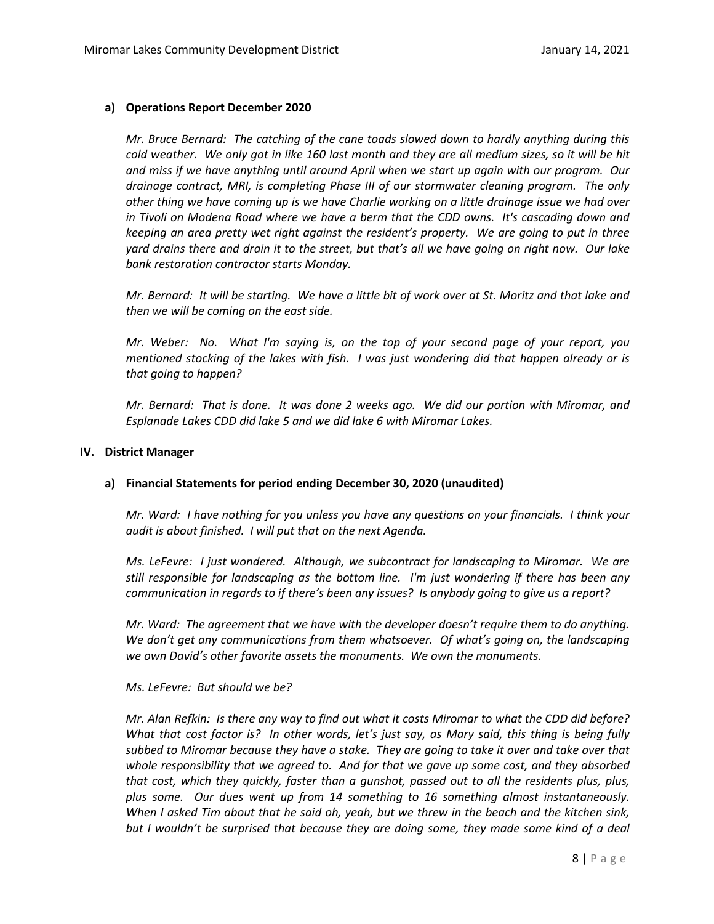#### **a) Operations Report December 2020**

*Mr. Bruce Bernard: The catching of the cane toads slowed down to hardly anything during this cold weather. We only got in like 160 last month and they are all medium sizes, so it will be hit and miss if we have anything until around April when we start up again with our program. Our drainage contract, MRI, is completing Phase III of our stormwater cleaning program. The only other thing we have coming up is we have Charlie working on a little drainage issue we had over in Tivoli on Modena Road where we have a berm that the CDD owns. It's cascading down and keeping an area pretty wet right against the resident's property. We are going to put in three yard drains there and drain it to the street, but that's all we have going on right now. Our lake bank restoration contractor starts Monday.* 

*Mr. Bernard: It will be starting. We have a little bit of work over at St. Moritz and that lake and then we will be coming on the east side.* 

*Mr. Weber: No. What I'm saying is, on the top of your second page of your report, you mentioned stocking of the lakes with fish. I was just wondering did that happen already or is that going to happen?*

*Mr. Bernard: That is done. It was done 2 weeks ago. We did our portion with Miromar, and Esplanade Lakes CDD did lake 5 and we did lake 6 with Miromar Lakes.*

#### **IV. District Manager**

#### **a) Financial Statements for period ending December 30, 2020 (unaudited)**

*Mr. Ward: I have nothing for you unless you have any questions on your financials. I think your audit is about finished. I will put that on the next Agenda.* 

*Ms. LeFevre: I just wondered. Although, we subcontract for landscaping to Miromar. We are still responsible for landscaping as the bottom line. I'm just wondering if there has been any communication in regards to if there's been any issues? Is anybody going to give us a report?*

*Mr. Ward: The agreement that we have with the developer doesn't require them to do anything. We don't get any communications from them whatsoever. Of what's going on, the landscaping we own David's other favorite assets the monuments. We own the monuments.*

#### *Ms. LeFevre: But should we be?*

*Mr. Alan Refkin: Is there any way to find out what it costs Miromar to what the CDD did before? What that cost factor is? In other words, let's just say, as Mary said, this thing is being fully subbed to Miromar because they have a stake. They are going to take it over and take over that whole responsibility that we agreed to. And for that we gave up some cost, and they absorbed that cost, which they quickly, faster than a gunshot, passed out to all the residents plus, plus, plus some. Our dues went up from 14 something to 16 something almost instantaneously. When I asked Tim about that he said oh, yeah, but we threw in the beach and the kitchen sink, but I wouldn't be surprised that because they are doing some, they made some kind of a deal*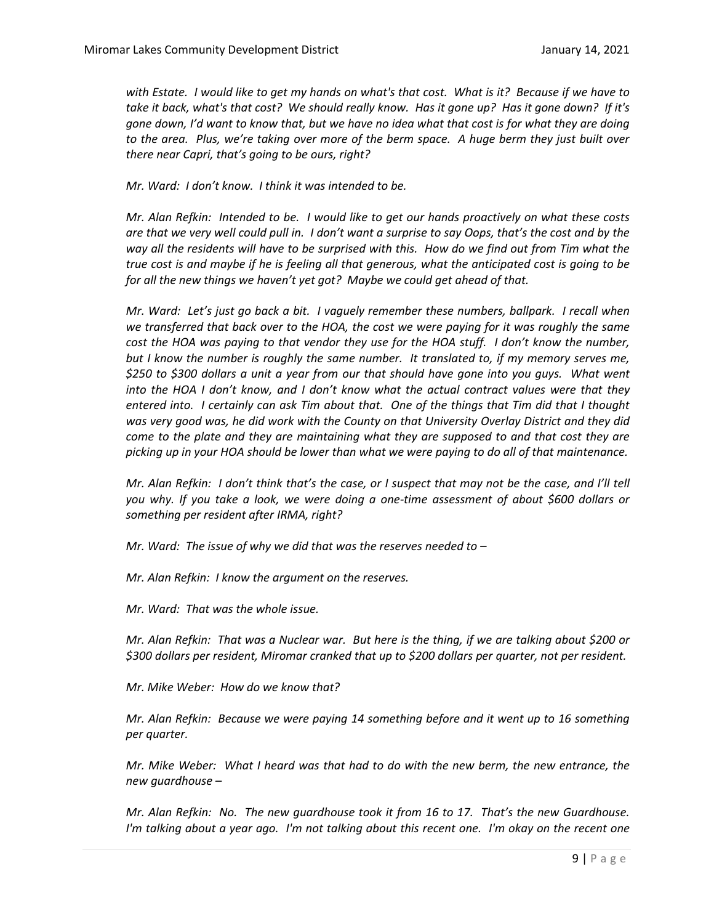*with Estate. I would like to get my hands on what's that cost. What is it? Because if we have to take it back, what's that cost? We should really know. Has it gone up? Has it gone down? If it's gone down, I'd want to know that, but we have no idea what that cost is for what they are doing to the area. Plus, we're taking over more of the berm space. A huge berm they just built over there near Capri, that's going to be ours, right?* 

*Mr. Ward: I don't know. I think it was intended to be.* 

*Mr. Alan Refkin: Intended to be. I would like to get our hands proactively on what these costs are that we very well could pull in. I don't want a surprise to say Oops, that's the cost and by the way all the residents will have to be surprised with this. How do we find out from Tim what the true cost is and maybe if he is feeling all that generous, what the anticipated cost is going to be for all the new things we haven't yet got? Maybe we could get ahead of that.*

*Mr. Ward: Let's just go back a bit. I vaguely remember these numbers, ballpark. I recall when we transferred that back over to the HOA, the cost we were paying for it was roughly the same cost the HOA was paying to that vendor they use for the HOA stuff. I don't know the number, but I know the number is roughly the same number. It translated to, if my memory serves me, \$250 to \$300 dollars a unit a year from our that should have gone into you guys. What went into the HOA I don't know, and I don't know what the actual contract values were that they entered into. I certainly can ask Tim about that. One of the things that Tim did that I thought was very good was, he did work with the County on that University Overlay District and they did come to the plate and they are maintaining what they are supposed to and that cost they are picking up in your HOA should be lower than what we were paying to do all of that maintenance.* 

*Mr. Alan Refkin: I don't think that's the case, or I suspect that may not be the case, and I'll tell you why. If you take a look, we were doing a one-time assessment of about \$600 dollars or something per resident after IRMA, right?*

*Mr. Ward: The issue of why we did that was the reserves needed to –*

*Mr. Alan Refkin: I know the argument on the reserves.* 

*Mr. Ward: That was the whole issue.*

*Mr. Alan Refkin: That was a Nuclear war. But here is the thing, if we are talking about \$200 or \$300 dollars per resident, Miromar cranked that up to \$200 dollars per quarter, not per resident.* 

*Mr. Mike Weber: How do we know that?*

*Mr. Alan Refkin: Because we were paying 14 something before and it went up to 16 something per quarter.* 

*Mr. Mike Weber: What I heard was that had to do with the new berm, the new entrance, the new guardhouse –*

*Mr. Alan Refkin: No. The new guardhouse took it from 16 to 17. That's the new Guardhouse. I'm talking about a year ago. I'm not talking about this recent one. I'm okay on the recent one*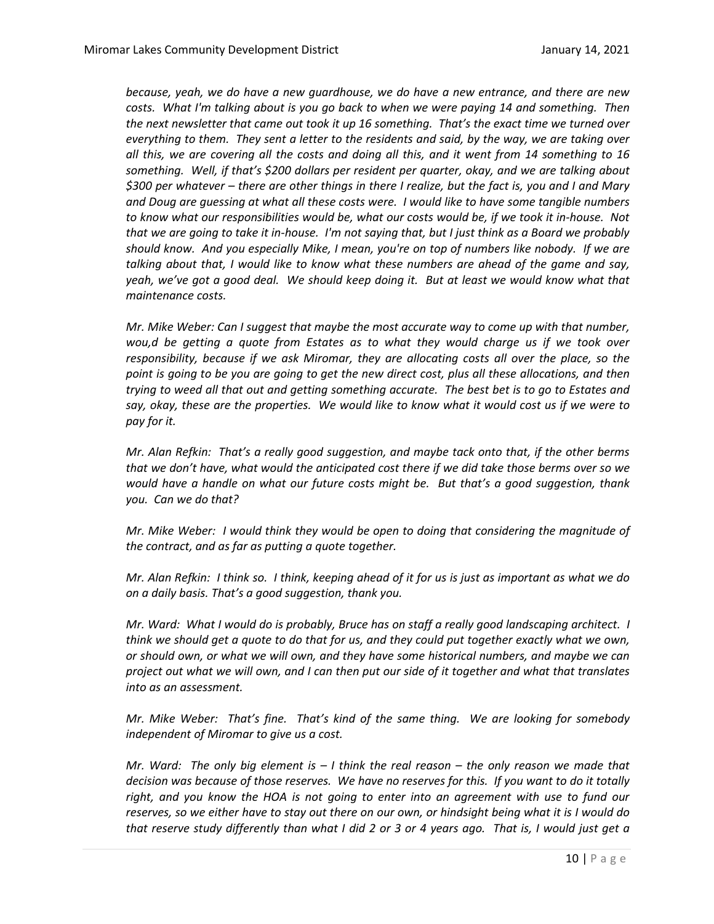*because, yeah, we do have a new guardhouse, we do have a new entrance, and there are new costs. What I'm talking about is you go back to when we were paying 14 and something. Then the next newsletter that came out took it up 16 something. That's the exact time we turned over everything to them. They sent a letter to the residents and said, by the way, we are taking over all this, we are covering all the costs and doing all this, and it went from 14 something to 16 something. Well, if that's \$200 dollars per resident per quarter, okay, and we are talking about \$300 per whatever – there are other things in there I realize, but the fact is, you and I and Mary and Doug are guessing at what all these costs were. I would like to have some tangible numbers to know what our responsibilities would be, what our costs would be, if we took it in-house. Not that we are going to take it in-house. I'm not saying that, but I just think as a Board we probably should know. And you especially Mike, I mean, you're on top of numbers like nobody. If we are talking about that, I would like to know what these numbers are ahead of the game and say, yeah, we've got a good deal. We should keep doing it. But at least we would know what that maintenance costs.* 

*Mr. Mike Weber: Can I suggest that maybe the most accurate way to come up with that number, wou,d be getting a quote from Estates as to what they would charge us if we took over responsibility, because if we ask Miromar, they are allocating costs all over the place, so the point is going to be you are going to get the new direct cost, plus all these allocations, and then trying to weed all that out and getting something accurate. The best bet is to go to Estates and say, okay, these are the properties. We would like to know what it would cost us if we were to pay for it.* 

*Mr. Alan Refkin: That's a really good suggestion, and maybe tack onto that, if the other berms that we don't have, what would the anticipated cost there if we did take those berms over so we would have a handle on what our future costs might be. But that's a good suggestion, thank you. Can we do that?*

*Mr. Mike Weber: I would think they would be open to doing that considering the magnitude of the contract, and as far as putting a quote together.* 

*Mr. Alan Refkin: I think so. I think, keeping ahead of it for us is just as important as what we do on a daily basis. That's a good suggestion, thank you.* 

*Mr. Ward: What I would do is probably, Bruce has on staff a really good landscaping architect. I think we should get a quote to do that for us, and they could put together exactly what we own, or should own, or what we will own, and they have some historical numbers, and maybe we can project out what we will own, and I can then put our side of it together and what that translates into as an assessment.* 

*Mr. Mike Weber: That's fine. That's kind of the same thing. We are looking for somebody independent of Miromar to give us a cost.* 

*Mr. Ward: The only big element is – I think the real reason – the only reason we made that decision was because of those reserves. We have no reserves for this. If you want to do it totally right, and you know the HOA is not going to enter into an agreement with use to fund our reserves, so we either have to stay out there on our own, or hindsight being what it is I would do that reserve study differently than what I did 2 or 3 or 4 years ago. That is, I would just get a*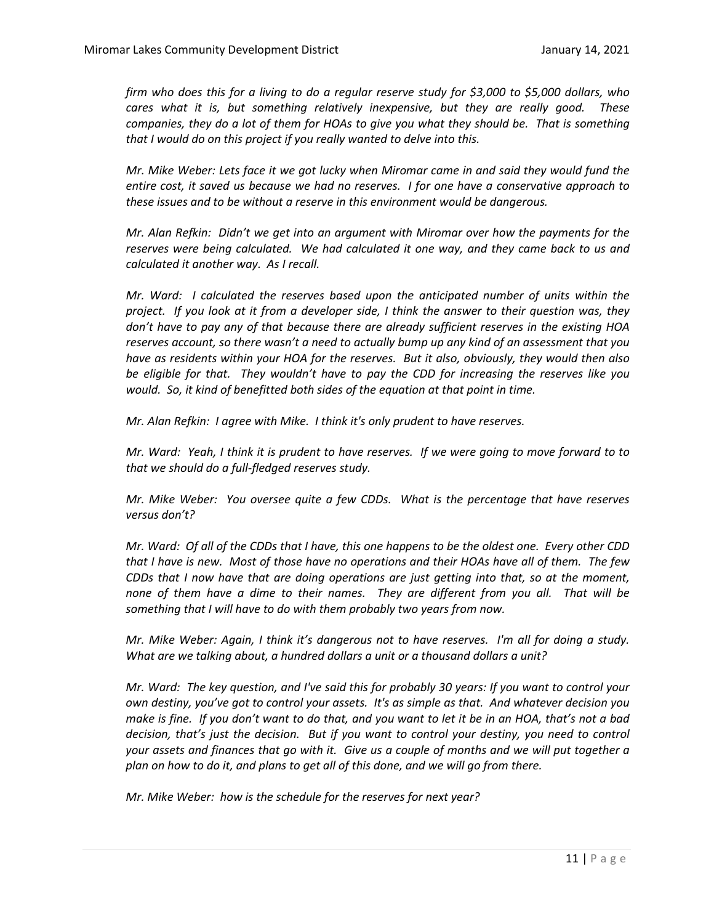*firm who does this for a living to do a regular reserve study for \$3,000 to \$5,000 dollars, who cares what it is, but something relatively inexpensive, but they are really good. These companies, they do a lot of them for HOAs to give you what they should be. That is something that I would do on this project if you really wanted to delve into this.* 

*Mr. Mike Weber: Lets face it we got lucky when Miromar came in and said they would fund the entire cost, it saved us because we had no reserves. I for one have a conservative approach to these issues and to be without a reserve in this environment would be dangerous.* 

*Mr. Alan Refkin: Didn't we get into an argument with Miromar over how the payments for the reserves were being calculated. We had calculated it one way, and they came back to us and calculated it another way. As I recall.* 

*Mr. Ward: I calculated the reserves based upon the anticipated number of units within the project. If you look at it from a developer side, I think the answer to their question was, they don't have to pay any of that because there are already sufficient reserves in the existing HOA reserves account, so there wasn't a need to actually bump up any kind of an assessment that you have as residents within your HOA for the reserves. But it also, obviously, they would then also be eligible for that. They wouldn't have to pay the CDD for increasing the reserves like you would. So, it kind of benefitted both sides of the equation at that point in time.* 

*Mr. Alan Refkin: I agree with Mike. I think it's only prudent to have reserves.* 

*Mr. Ward: Yeah, I think it is prudent to have reserves. If we were going to move forward to to that we should do a full-fledged reserves study.*

*Mr. Mike Weber: You oversee quite a few CDDs. What is the percentage that have reserves versus don't?*

*Mr. Ward: Of all of the CDDs that I have, this one happens to be the oldest one. Every other CDD that I have is new. Most of those have no operations and their HOAs have all of them. The few CDDs that I now have that are doing operations are just getting into that, so at the moment, none of them have a dime to their names. They are different from you all. That will be something that I will have to do with them probably two years from now.* 

*Mr. Mike Weber: Again, I think it's dangerous not to have reserves. I'm all for doing a study. What are we talking about, a hundred dollars a unit or a thousand dollars a unit?*

*Mr. Ward: The key question, and I've said this for probably 30 years: If you want to control your own destiny, you've got to control your assets. It's as simple as that. And whatever decision you make is fine. If you don't want to do that, and you want to let it be in an HOA, that's not a bad decision, that's just the decision. But if you want to control your destiny, you need to control your assets and finances that go with it. Give us a couple of months and we will put together a plan on how to do it, and plans to get all of this done, and we will go from there.* 

*Mr. Mike Weber: how is the schedule for the reserves for next year?*